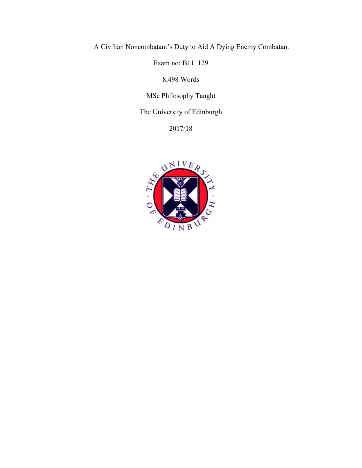# A Civilian Noncombatant's Duty to Aid A Dying Enemy Combatant

Exam no: B111129

8,498 Words

MSc Philosophy Taught

The University of Edinburgh

2017/18

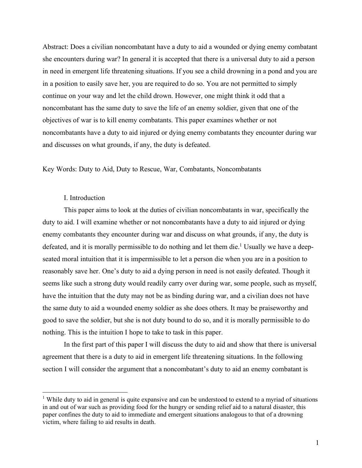Abstract: Does a civilian noncombatant have a duty to aid a wounded or dying enemy combatant she encounters during war? In general it is accepted that there is a universal duty to aid a person in need in emergent life threatening situations. If you see a child drowning in a pond and you are in a position to easily save her, you are required to do so. You are not permitted to simply continue on your way and let the child drown. However, one might think it odd that a noncombatant has the same duty to save the life of an enemy soldier, given that one of the objectives of war is to kill enemy combatants. This paper examines whether or not noncombatants have a duty to aid injured or dying enemy combatants they encounter during war and discusses on what grounds, if any, the duty is defeated.

Key Words: Duty to Aid, Duty to Rescue, War, Combatants, Noncombatants

### I. Introduction

This paper aims to look at the duties of civilian noncombatants in war, specifically the duty to aid. I will examine whether or not noncombatants have a duty to aid injured or dying enemy combatants they encounter during war and discuss on what grounds, if any, the duty is defeated, and it is morally permissible to do nothing and let them die.<sup>1</sup> Usually we have a deepseated moral intuition that it is impermissible to let a person die when you are in a position to reasonably save her. One's duty to aid a dying person in need is not easily defeated. Though it seems like such a strong duty would readily carry over during war, some people, such as myself, have the intuition that the duty may not be as binding during war, and a civilian does not have the same duty to aid a wounded enemy soldier as she does others. It may be praiseworthy and good to save the soldier, but she is not duty bound to do so, and it is morally permissible to do nothing. This is the intuition I hope to take to task in this paper.

In the first part of this paper I will discuss the duty to aid and show that there is universal agreement that there is a duty to aid in emergent life threatening situations. In the following section I will consider the argument that a noncombatant's duty to aid an enemy combatant is

<sup>&</sup>lt;sup>1</sup> While duty to aid in general is quite expansive and can be understood to extend to a myriad of situations in and out of war such as providing food for the hungry or sending relief aid to a natural disaster, this paper confines the duty to aid to immediate and emergent situations analogous to that of a drowning victim, where failing to aid results in death.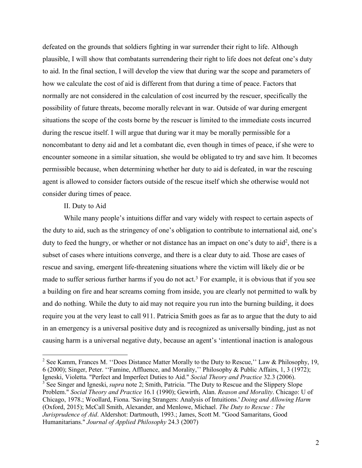defeated on the grounds that soldiers fighting in war surrender their right to life. Although plausible, I will show that combatants surrendering their right to life does not defeat one's duty to aid. In the final section, I will develop the view that during war the scope and parameters of how we calculate the cost of aid is different from that during a time of peace. Factors that normally are not considered in the calculation of cost incurred by the rescuer, specifically the possibility of future threats, become morally relevant in war. Outside of war during emergent situations the scope of the costs borne by the rescuer is limited to the immediate costs incurred during the rescue itself. I will argue that during war it may be morally permissible for a noncombatant to deny aid and let a combatant die, even though in times of peace, if she were to encounter someone in a similar situation, she would be obligated to try and save him. It becomes permissible because, when determining whether her duty to aid is defeated, in war the rescuing agent is allowed to consider factors outside of the rescue itself which she otherwise would not consider during times of peace.

## II. Duty to Aid

While many people's intuitions differ and vary widely with respect to certain aspects of the duty to aid, such as the stringency of one's obligation to contribute to international aid, one's duty to feed the hungry, or whether or not distance has an impact on one's duty to aid<sup>2</sup>, there is a subset of cases where intuitions converge, and there is a clear duty to aid. Those are cases of rescue and saving, emergent life-threatening situations where the victim will likely die or be made to suffer serious further harms if you do not act.<sup>3</sup> For example, it is obvious that if you see a building on fire and hear screams coming from inside, you are clearly not permitted to walk by and do nothing. While the duty to aid may not require you run into the burning building, it does require you at the very least to call 911. Patricia Smith goes as far as to argue that the duty to aid in an emergency is a universal positive duty and is recognized as universally binding, just as not causing harm is a universal negative duty, because an agent's 'intentional inaction is analogous

<sup>&</sup>lt;sup>2</sup> See Kamm, Frances M. "Does Distance Matter Morally to the Duty to Rescue," Law & Philosophy, 19, 6 (2000); Singer, Peter. ''Famine, Affluence, and Morality,'' Philosophy & Public Affairs, 1, 3 (1972); Igneski, Violetta. "Perfect and Imperfect Duties to Aid." *Social Theory and Practice* 32.3 (2006). <sup>3</sup> See Singer and Igneski, *supra* note 2; Smith, Patricia. "The Duty to Rescue and the Slippery Slope

Problem." *Social Theory and Practice* 16.1 (1990); Gewirth, Alan. *Reason and Morality*. Chicago: U of Chicago, 1978.; Woollard, Fiona. 'Saving Strangers: Analysis of Intuitions.' *Doing and Allowing Harm* (Oxford, 2015); McCall Smith, Alexander, and Menlowe, Michael. *The Duty to Rescue : The Jurisprudence of Aid*. Aldershot: Dartmouth, 1993.; James, Scott M. "Good Samaritans, Good Humanitarians." *Journal of Applied Philosophy* 24.3 (2007)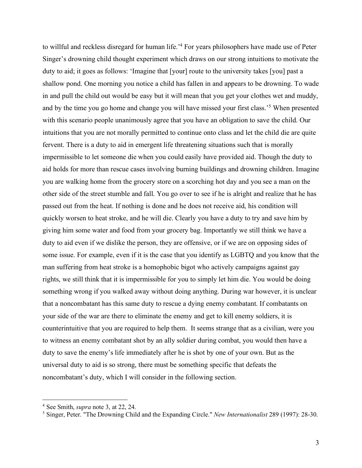to willful and reckless disregard for human life.' <sup>4</sup> For years philosophers have made use of Peter Singer's drowning child thought experiment which draws on our strong intuitions to motivate the duty to aid; it goes as follows: 'Imagine that [your] route to the university takes [you] past a shallow pond. One morning you notice a child has fallen in and appears to be drowning. To wade in and pull the child out would be easy but it will mean that you get your clothes wet and muddy, and by the time you go home and change you will have missed your first class.'5 When presented with this scenario people unanimously agree that you have an obligation to save the child. Our intuitions that you are not morally permitted to continue onto class and let the child die are quite fervent. There is a duty to aid in emergent life threatening situations such that is morally impermissible to let someone die when you could easily have provided aid. Though the duty to aid holds for more than rescue cases involving burning buildings and drowning children. Imagine you are walking home from the grocery store on a scorching hot day and you see a man on the other side of the street stumble and fall. You go over to see if he is alright and realize that he has passed out from the heat. If nothing is done and he does not receive aid, his condition will quickly worsen to heat stroke, and he will die. Clearly you have a duty to try and save him by giving him some water and food from your grocery bag. Importantly we still think we have a duty to aid even if we dislike the person, they are offensive, or if we are on opposing sides of some issue. For example, even if it is the case that you identify as LGBTQ and you know that the man suffering from heat stroke is a homophobic bigot who actively campaigns against gay rights, we still think that it is impermissible for you to simply let him die. You would be doing something wrong if you walked away without doing anything. During war however, it is unclear that a noncombatant has this same duty to rescue a dying enemy combatant. If combatants on your side of the war are there to eliminate the enemy and get to kill enemy soldiers, it is counterintuitive that you are required to help them. It seems strange that as a civilian, were you to witness an enemy combatant shot by an ally soldier during combat, you would then have a duty to save the enemy's life immediately after he is shot by one of your own. But as the universal duty to aid is so strong, there must be something specific that defeats the noncombatant's duty, which I will consider in the following section.

 <sup>4</sup> See Smith, *supra* note 3, at 22, 24.

<sup>5</sup> Singer, Peter. "The Drowning Child and the Expanding Circle." *New Internationalist* 289 (1997): 28-30.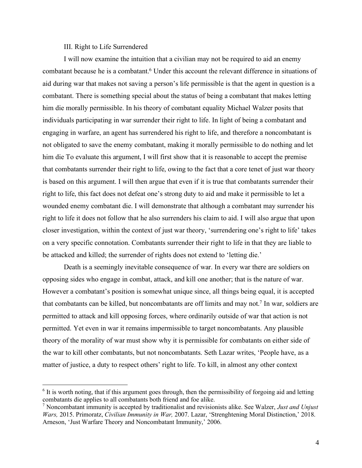## III. Right to Life Surrendered

I will now examine the intuition that a civilian may not be required to aid an enemy combatant because he is a combatant.<sup>6</sup> Under this account the relevant difference in situations of aid during war that makes not saving a person's life permissible is that the agent in question is a combatant. There is something special about the status of being a combatant that makes letting him die morally permissible. In his theory of combatant equality Michael Walzer posits that individuals participating in war surrender their right to life. In light of being a combatant and engaging in warfare, an agent has surrendered his right to life, and therefore a noncombatant is not obligated to save the enemy combatant, making it morally permissible to do nothing and let him die To evaluate this argument, I will first show that it is reasonable to accept the premise that combatants surrender their right to life, owing to the fact that a core tenet of just war theory is based on this argument. I will then argue that even if it is true that combatants surrender their right to life, this fact does not defeat one's strong duty to aid and make it permissible to let a wounded enemy combatant die. I will demonstrate that although a combatant may surrender his right to life it does not follow that he also surrenders his claim to aid. I will also argue that upon closer investigation, within the context of just war theory, 'surrendering one's right to life' takes on a very specific connotation. Combatants surrender their right to life in that they are liable to be attacked and killed; the surrender of rights does not extend to 'letting die.'

Death is a seemingly inevitable consequence of war. In every war there are soldiers on opposing sides who engage in combat, attack, and kill one another; that is the nature of war. However a combatant's position is somewhat unique since, all things being equal, it is accepted that combatants can be killed, but noncombatants are off limits and may not. <sup>7</sup> In war, soldiers are permitted to attack and kill opposing forces, where ordinarily outside of war that action is not permitted. Yet even in war it remains impermissible to target noncombatants. Any plausible theory of the morality of war must show why it is permissible for combatants on either side of the war to kill other combatants, but not noncombatants. Seth Lazar writes, 'People have, as a matter of justice, a duty to respect others' right to life. To kill, in almost any other context

 <sup>6</sup> It is worth noting, that if this argument goes through, then the permissibility of forgoing aid and letting combatants die applies to all combatants both friend and foe alike.

<sup>7</sup> Noncombatant immunity is accepted by traditionalist and revisionists alike. See Walzer, *Just and Unjust Wars,* 2015. Primoratz, *Civilian Immunity in War,* 2007. Lazar, 'Strenghtening Moral Distinction,' 2018. Arneson, 'Just Warfare Theory and Noncombatant Immunity,' 2006.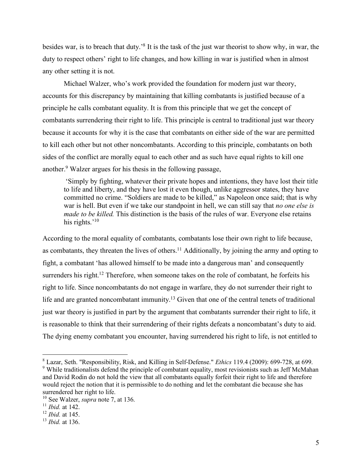besides war, is to breach that duty.'8 It is the task of the just war theorist to show why, in war, the duty to respect others' right to life changes, and how killing in war is justified when in almost any other setting it is not.

Michael Walzer, who's work provided the foundation for modern just war theory, accounts for this discrepancy by maintaining that killing combatants is justified because of a principle he calls combatant equality. It is from this principle that we get the concept of combatants surrendering their right to life. This principle is central to traditional just war theory because it accounts for why it is the case that combatants on either side of the war are permitted to kill each other but not other noncombatants. According to this principle, combatants on both sides of the conflict are morally equal to each other and as such have equal rights to kill one another.9 Walzer argues for his thesis in the following passage,

'Simply by fighting, whatever their private hopes and intentions, they have lost their title to life and liberty, and they have lost it even though, unlike aggressor states, they have committed no crime. "Soldiers are made to be killed," as Napoleon once said; that is why war is hell. But even if we take our standpoint in hell, we can still say that *no one else is made to be killed.* This distinction is the basis of the rules of war. Everyone else retains his rights.'<sup>10</sup>

According to the moral equality of combatants, combatants lose their own right to life because, as combatants, they threaten the lives of others.<sup>11</sup> Additionally, by joining the army and opting to fight, a combatant 'has allowed himself to be made into a dangerous man' and consequently surrenders his right.<sup>12</sup> Therefore, when someone takes on the role of combatant, he forfeits his right to life. Since noncombatants do not engage in warfare, they do not surrender their right to life and are granted noncombatant immunity.<sup>13</sup> Given that one of the central tenets of traditional just war theory is justified in part by the argument that combatants surrender their right to life, it is reasonable to think that their surrendering of their rights defeats a noncombatant's duty to aid. The dying enemy combatant you encounter, having surrendered his right to life, is not entitled to

 <sup>8</sup> Lazar, Seth. "Responsibility, Risk, and Killing in Self-Defense." *Ethics* 119.4 (2009): 699-728, at 699. <sup>9</sup> While traditionalists defend the principle of combatant equality, most revisionists such as Jeff McMahan and David Rodin do not hold the view that all combatants equally forfeit their right to life and therefore would reject the notion that it is permissible to do nothing and let the combatant die because she has surrendered her right to life.

<sup>10</sup> See Walzer, *supra* note 7, at 136.

<sup>11</sup> *Ibid.* at 142.

<sup>12</sup> *Ibid.* at 145.

<sup>13</sup> *Ibid.* at 136.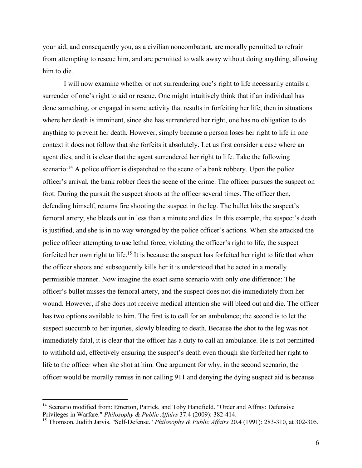your aid, and consequently you, as a civilian noncombatant, are morally permitted to refrain from attempting to rescue him, and are permitted to walk away without doing anything, allowing him to die.

I will now examine whether or not surrendering one's right to life necessarily entails a surrender of one's right to aid or rescue. One might intuitively think that if an individual has done something, or engaged in some activity that results in forfeiting her life, then in situations where her death is imminent, since she has surrendered her right, one has no obligation to do anything to prevent her death. However, simply because a person loses her right to life in one context it does not follow that she forfeits it absolutely. Let us first consider a case where an agent dies, and it is clear that the agent surrendered her right to life. Take the following scenario:<sup>14</sup> A police officer is dispatched to the scene of a bank robbery. Upon the police officer's arrival, the bank robber flees the scene of the crime. The officer pursues the suspect on foot. During the pursuit the suspect shoots at the officer several times. The officer then, defending himself, returns fire shooting the suspect in the leg. The bullet hits the suspect's femoral artery; she bleeds out in less than a minute and dies. In this example, the suspect's death is justified, and she is in no way wronged by the police officer's actions. When she attacked the police officer attempting to use lethal force, violating the officer's right to life, the suspect forfeited her own right to life.<sup>15</sup> It is because the suspect has forfeited her right to life that when the officer shoots and subsequently kills her it is understood that he acted in a morally permissible manner. Now imagine the exact same scenario with only one difference: The officer's bullet misses the femoral artery, and the suspect does not die immediately from her wound. However, if she does not receive medical attention she will bleed out and die. The officer has two options available to him. The first is to call for an ambulance; the second is to let the suspect succumb to her injuries, slowly bleeding to death. Because the shot to the leg was not immediately fatal, it is clear that the officer has a duty to call an ambulance. He is not permitted to withhold aid, effectively ensuring the suspect's death even though she forfeited her right to life to the officer when she shot at him. One argument for why, in the second scenario, the officer would be morally remiss in not calling 911 and denying the dying suspect aid is because

<sup>&</sup>lt;sup>14</sup> Scenario modified from: Emerton, Patrick, and Toby Handfield. "Order and Affray: Defensive Privileges in Warfare." *Philosophy & Public Affairs* 37.4 (2009): 382-414.

<sup>15</sup> Thomson, Judith Jarvis. "Self-Defense." *Philosophy & Public Affairs* 20.4 (1991): 283-310, at 302-305.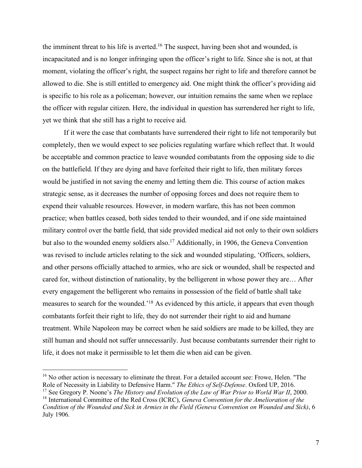the imminent threat to his life is averted.<sup>16</sup> The suspect, having been shot and wounded, is incapacitated and is no longer infringing upon the officer's right to life. Since she is not, at that moment, violating the officer's right, the suspect regains her right to life and therefore cannot be allowed to die. She is still entitled to emergency aid. One might think the officer's providing aid is specific to his role as a policeman; however, our intuition remains the same when we replace the officer with regular citizen. Here, the individual in question has surrendered her right to life, yet we think that she still has a right to receive aid.

If it were the case that combatants have surrendered their right to life not temporarily but completely, then we would expect to see policies regulating warfare which reflect that. It would be acceptable and common practice to leave wounded combatants from the opposing side to die on the battlefield. If they are dying and have forfeited their right to life, then military forces would be justified in not saving the enemy and letting them die. This course of action makes strategic sense, as it decreases the number of opposing forces and does not require them to expend their valuable resources. However, in modern warfare, this has not been common practice; when battles ceased, both sides tended to their wounded, and if one side maintained military control over the battle field, that side provided medical aid not only to their own soldiers but also to the wounded enemy soldiers also. <sup>17</sup> Additionally, in 1906, the Geneva Convention was revised to include articles relating to the sick and wounded stipulating, 'Officers, soldiers, and other persons officially attached to armies, who are sick or wounded, shall be respected and cared for, without distinction of nationality, by the belligerent in whose power they are… After every engagement the belligerent who remains in possession of the field of battle shall take measures to search for the wounded.<sup>18</sup> As evidenced by this article, it appears that even though combatants forfeit their right to life, they do not surrender their right to aid and humane treatment. While Napoleon may be correct when he said soldiers are made to be killed, they are still human and should not suffer unnecessarily. Just because combatants surrender their right to life, it does not make it permissible to let them die when aid can be given.

<sup>&</sup>lt;sup>16</sup> No other action is necessary to eliminate the threat. For a detailed account see: Frowe, Helen. "The Role of Necessity in Liability to Defensive Harm." *The Ethics of Self-Defense*. Oxford UP, 2016.

<sup>&</sup>lt;sup>17</sup> See Gregory P. Noone's *The History and Evolution of the Law of War Prior to World War II*, 2000.

<sup>18</sup> International Committee of the Red Cross (ICRC), *Geneva Convention for the Amelioration of the Condition of the Wounded and Sick in Armies in the Field (Geneva Convention on Wounded and Sick)*, 6 July 1906.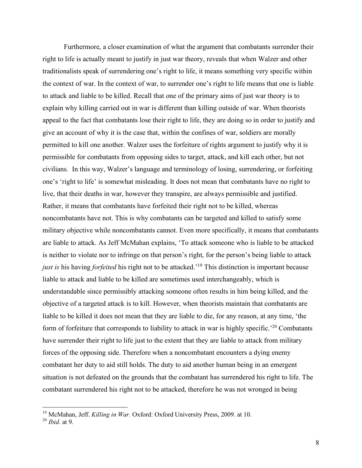Furthermore, a closer examination of what the argument that combatants surrender their right to life is actually meant to justify in just war theory, reveals that when Walzer and other traditionalists speak of surrendering one's right to life, it means something very specific within the context of war. In the context of war, to surrender one's right to life means that one is liable to attack and liable to be killed. Recall that one of the primary aims of just war theory is to explain why killing carried out in war is different than killing outside of war. When theorists appeal to the fact that combatants lose their right to life, they are doing so in order to justify and give an account of why it is the case that, within the confines of war, soldiers are morally permitted to kill one another. Walzer uses the forfeiture of rights argument to justify why it is permissible for combatants from opposing sides to target, attack, and kill each other, but not civilians. In this way, Walzer's language and terminology of losing, surrendering, or forfeiting one's 'right to life' is somewhat misleading. It does not mean that combatants have no right to live, that their deaths in war, however they transpire, are always permissible and justified. Rather, it means that combatants have forfeited their right not to be killed, whereas noncombatants have not. This is why combatants can be targeted and killed to satisfy some military objective while noncombatants cannot. Even more specifically, it means that combatants are liable to attack. As Jeff McMahan explains, 'To attack someone who is liable to be attacked is neither to violate nor to infringe on that person's right, for the person's being liable to attack *just is* his having *forfeited* his right not to be attacked.' <sup>19</sup> This distinction is important because liable to attack and liable to be killed are sometimes used interchangeably, which is understandable since permissibly attacking someone often results in him being killed, and the objective of a targeted attack is to kill. However, when theorists maintain that combatants are liable to be killed it does not mean that they are liable to die, for any reason, at any time, 'the form of forfeiture that corresponds to liability to attack in war is highly specific.<sup>20</sup> Combatants have surrender their right to life just to the extent that they are liable to attack from military forces of the opposing side. Therefore when a noncombatant encounters a dying enemy combatant her duty to aid still holds. The duty to aid another human being in an emergent situation is not defeated on the grounds that the combatant has surrendered his right to life. The combatant surrendered his right not to be attacked, therefore he was not wronged in being

<sup>&</sup>lt;sup>19</sup> McMahan, Jeff. *Killing in War*. Oxford: Oxford University Press, 2009. at 10.

<sup>20</sup> *Ibid.* at 9.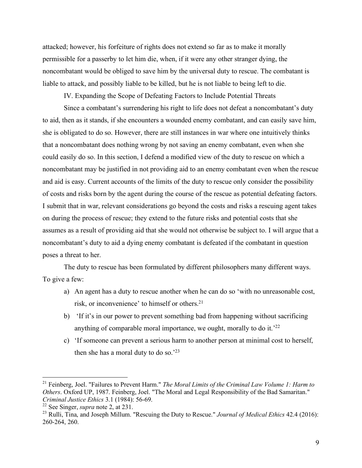attacked; however, his forfeiture of rights does not extend so far as to make it morally permissible for a passerby to let him die, when, if it were any other stranger dying, the noncombatant would be obliged to save him by the universal duty to rescue. The combatant is liable to attack, and possibly liable to be killed, but he is not liable to being left to die.

IV. Expanding the Scope of Defeating Factors to Include Potential Threats

Since a combatant's surrendering his right to life does not defeat a noncombatant's duty to aid, then as it stands, if she encounters a wounded enemy combatant, and can easily save him, she is obligated to do so. However, there are still instances in war where one intuitively thinks that a noncombatant does nothing wrong by not saving an enemy combatant, even when she could easily do so. In this section, I defend a modified view of the duty to rescue on which a noncombatant may be justified in not providing aid to an enemy combatant even when the rescue and aid is easy. Current accounts of the limits of the duty to rescue only consider the possibility of costs and risks born by the agent during the course of the rescue as potential defeating factors. I submit that in war, relevant considerations go beyond the costs and risks a rescuing agent takes on during the process of rescue; they extend to the future risks and potential costs that she assumes as a result of providing aid that she would not otherwise be subject to. I will argue that a noncombatant's duty to aid a dying enemy combatant is defeated if the combatant in question poses a threat to her.

The duty to rescue has been formulated by different philosophers many different ways. To give a few:

- a) An agent has a duty to rescue another when he can do so 'with no unreasonable cost, risk, or inconvenience' to himself or others.<sup>21</sup>
- b) 'If it's in our power to prevent something bad from happening without sacrificing anything of comparable moral importance, we ought, morally to do it.'22
- c) 'If someone can prevent a serious harm to another person at minimal cost to herself, then she has a moral duty to do so. $23$

 <sup>21</sup> Feinberg, Joel. "Failures to Prevent Harm." *The Moral Limits of the Criminal Law Volume 1: Harm to Others*. Oxford UP, 1987. Feinberg, Joel. "The Moral and Legal Responsibility of the Bad Samaritan." *Criminal Justice Ethics* 3.1 (1984): 56-69.

<sup>22</sup> See Singer, *supra* note 2, at 231.

<sup>23</sup> Rulli, Tina, and Joseph Millum. "Rescuing the Duty to Rescue." *Journal of Medical Ethics* 42.4 (2016): 260-264, 260.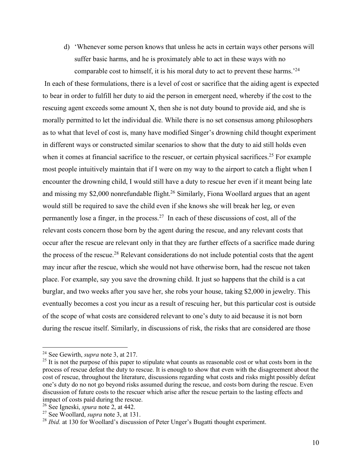d) 'Whenever some person knows that unless he acts in certain ways other persons will suffer basic harms, and he is proximately able to act in these ways with no comparable cost to himself, it is his moral duty to act to prevent these harms.'24

In each of these formulations, there is a level of cost or sacrifice that the aiding agent is expected to bear in order to fulfill her duty to aid the person in emergent need, whereby if the cost to the rescuing agent exceeds some amount X, then she is not duty bound to provide aid, and she is morally permitted to let the individual die. While there is no set consensus among philosophers as to what that level of cost is, many have modified Singer's drowning child thought experiment in different ways or constructed similar scenarios to show that the duty to aid still holds even when it comes at financial sacrifice to the rescuer, or certain physical sacrifices.<sup>25</sup> For example most people intuitively maintain that if I were on my way to the airport to catch a flight when I encounter the drowning child, I would still have a duty to rescue her even if it meant being late and missing my \$2,000 nonrefundable flight.<sup>26</sup> Similarly, Fiona Woollard argues that an agent would still be required to save the child even if she knows she will break her leg, or even permanently lose a finger, in the process.<sup>27</sup> In each of these discussions of cost, all of the relevant costs concern those born by the agent during the rescue, and any relevant costs that occur after the rescue are relevant only in that they are further effects of a sacrifice made during the process of the rescue.28 Relevant considerations do not include potential costs that the agent may incur after the rescue, which she would not have otherwise born, had the rescue not taken place. For example, say you save the drowning child. It just so happens that the child is a cat burglar, and two weeks after you save her, she robs your house, taking \$2,000 in jewelry. This eventually becomes a cost you incur as a result of rescuing her, but this particular cost is outside of the scope of what costs are considered relevant to one's duty to aid because it is not born during the rescue itself. Similarly, in discussions of risk, the risks that are considered are those

 <sup>24</sup> See Gewirth, *supra* note 3, at 217.

<sup>&</sup>lt;sup>25</sup> It is not the purpose of this paper to stipulate what counts as reasonable cost or what costs born in the process of rescue defeat the duty to rescue. It is enough to show that even with the disagreement about the cost of rescue, throughout the literature, discussions regarding what costs and risks might possibly defeat one's duty do no not go beyond risks assumed during the rescue, and costs born during the rescue. Even discussion of future costs to the rescuer which arise after the rescue pertain to the lasting effects and impact of costs paid during the rescue.

<sup>26</sup> See Igneski, *spura* note 2, at 442.

<sup>27</sup> See Woollard, *supra* note 3, at 131.

<sup>&</sup>lt;sup>28</sup> *Ibid.* at 130 for Woollard's discussion of Peter Unger's Bugatti thought experiment.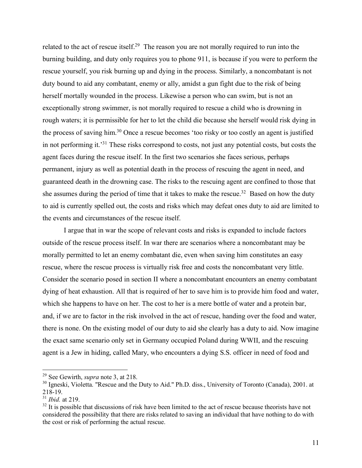related to the act of rescue itself.<sup>29</sup> The reason you are not morally required to run into the burning building, and duty only requires you to phone 911, is because if you were to perform the rescue yourself, you risk burning up and dying in the process. Similarly, a noncombatant is not duty bound to aid any combatant, enemy or ally, amidst a gun fight due to the risk of being herself mortally wounded in the process. Likewise a person who can swim, but is not an exceptionally strong swimmer, is not morally required to rescue a child who is drowning in rough waters; it is permissible for her to let the child die because she herself would risk dying in the process of saving him.30 Once a rescue becomes 'too risky or too costly an agent is justified in not performing it.'31 These risks correspond to costs, not just any potential costs, but costs the agent faces during the rescue itself. In the first two scenarios she faces serious, perhaps permanent, injury as well as potential death in the process of rescuing the agent in need, and guaranteed death in the drowning case. The risks to the rescuing agent are confined to those that she assumes during the period of time that it takes to make the rescue.<sup>32</sup> Based on how the duty to aid is currently spelled out, the costs and risks which may defeat ones duty to aid are limited to the events and circumstances of the rescue itself.

I argue that in war the scope of relevant costs and risks is expanded to include factors outside of the rescue process itself. In war there are scenarios where a noncombatant may be morally permitted to let an enemy combatant die, even when saving him constitutes an easy rescue, where the rescue process is virtually risk free and costs the noncombatant very little. Consider the scenario posed in section II where a noncombatant encounters an enemy combatant dying of heat exhaustion. All that is required of her to save him is to provide him food and water, which she happens to have on her. The cost to her is a mere bottle of water and a protein bar, and, if we are to factor in the risk involved in the act of rescue, handing over the food and water, there is none. On the existing model of our duty to aid she clearly has a duty to aid. Now imagine the exact same scenario only set in Germany occupied Poland during WWII, and the rescuing agent is a Jew in hiding, called Mary, who encounters a dying S.S. officer in need of food and

 <sup>29</sup> See Gewirth, *supra* note 3, at 218.

<sup>&</sup>lt;sup>30</sup> Igneski, Violetta. "Rescue and the Duty to Aid." Ph.D. diss., University of Toronto (Canada), 2001. at 218-19.

<sup>31</sup> *Ibid.* at 219.

<sup>&</sup>lt;sup>32</sup> It is possible that discussions of risk have been limited to the act of rescue because theorists have not considered the possibility that there are risks related to saving an individual that have nothing to do with the cost or risk of performing the actual rescue.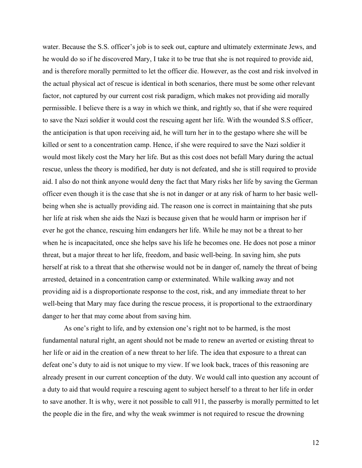water. Because the S.S. officer's job is to seek out, capture and ultimately exterminate Jews, and he would do so if he discovered Mary, I take it to be true that she is not required to provide aid, and is therefore morally permitted to let the officer die. However, as the cost and risk involved in the actual physical act of rescue is identical in both scenarios, there must be some other relevant factor, not captured by our current cost risk paradigm, which makes not providing aid morally permissible. I believe there is a way in which we think, and rightly so, that if she were required to save the Nazi soldier it would cost the rescuing agent her life. With the wounded S.S officer, the anticipation is that upon receiving aid, he will turn her in to the gestapo where she will be killed or sent to a concentration camp. Hence, if she were required to save the Nazi soldier it would most likely cost the Mary her life. But as this cost does not befall Mary during the actual rescue, unless the theory is modified, her duty is not defeated, and she is still required to provide aid. I also do not think anyone would deny the fact that Mary risks her life by saving the German officer even though it is the case that she is not in danger or at any risk of harm to her basic wellbeing when she is actually providing aid. The reason one is correct in maintaining that she puts her life at risk when she aids the Nazi is because given that he would harm or imprison her if ever he got the chance, rescuing him endangers her life. While he may not be a threat to her when he is incapacitated, once she helps save his life he becomes one. He does not pose a minor threat, but a major threat to her life, freedom, and basic well-being. In saving him, she puts herself at risk to a threat that she otherwise would not be in danger of, namely the threat of being arrested, detained in a concentration camp or exterminated. While walking away and not providing aid is a disproportionate response to the cost, risk, and any immediate threat to her well-being that Mary may face during the rescue process, it is proportional to the extraordinary danger to her that may come about from saving him.

As one's right to life, and by extension one's right not to be harmed, is the most fundamental natural right, an agent should not be made to renew an averted or existing threat to her life or aid in the creation of a new threat to her life. The idea that exposure to a threat can defeat one's duty to aid is not unique to my view. If we look back, traces of this reasoning are already present in our current conception of the duty. We would call into question any account of a duty to aid that would require a rescuing agent to subject herself to a threat to her life in order to save another. It is why, were it not possible to call 911, the passerby is morally permitted to let the people die in the fire, and why the weak swimmer is not required to rescue the drowning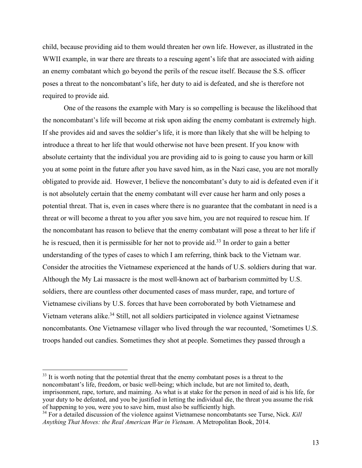child, because providing aid to them would threaten her own life. However, as illustrated in the WWII example, in war there are threats to a rescuing agent's life that are associated with aiding an enemy combatant which go beyond the perils of the rescue itself. Because the S.S. officer poses a threat to the noncombatant's life, her duty to aid is defeated, and she is therefore not required to provide aid.

One of the reasons the example with Mary is so compelling is because the likelihood that the noncombatant's life will become at risk upon aiding the enemy combatant is extremely high. If she provides aid and saves the soldier's life, it is more than likely that she will be helping to introduce a threat to her life that would otherwise not have been present. If you know with absolute certainty that the individual you are providing aid to is going to cause you harm or kill you at some point in the future after you have saved him, as in the Nazi case, you are not morally obligated to provide aid. However, I believe the noncombatant's duty to aid is defeated even if it is not absolutely certain that the enemy combatant will ever cause her harm and only poses a potential threat. That is, even in cases where there is no guarantee that the combatant in need is a threat or will become a threat to you after you save him, you are not required to rescue him. If the noncombatant has reason to believe that the enemy combatant will pose a threat to her life if he is rescued, then it is permissible for her not to provide aid.<sup>33</sup> In order to gain a better understanding of the types of cases to which I am referring, think back to the Vietnam war. Consider the atrocities the Vietnamese experienced at the hands of U.S. soldiers during that war. Although the My Lai massacre is the most well-known act of barbarism committed by U.S. soldiers, there are countless other documented cases of mass murder, rape, and torture of Vietnamese civilians by U.S. forces that have been corroborated by both Vietnamese and Vietnam veterans alike.<sup>34</sup> Still, not all soldiers participated in violence against Vietnamese noncombatants. One Vietnamese villager who lived through the war recounted, 'Sometimes U.S. troops handed out candies. Sometimes they shot at people. Sometimes they passed through a

<sup>&</sup>lt;sup>33</sup> It is worth noting that the potential threat that the enemy combatant poses is a threat to the noncombatant's life, freedom, or basic well-being; which include, but are not limited to, death, imprisonment, rape, torture, and maiming. As what is at stake for the person in need of aid is his life, for your duty to be defeated, and you be justified in letting the individual die, the threat you assume the risk of happening to you, were you to save him, must also be sufficiently high.

<sup>34</sup> For a detailed discussion of the violence against Vietnamese noncombatants see Turse, Nick. *Kill Anything That Moves: the Real American War in Vietnam*. A Metropolitan Book, 2014.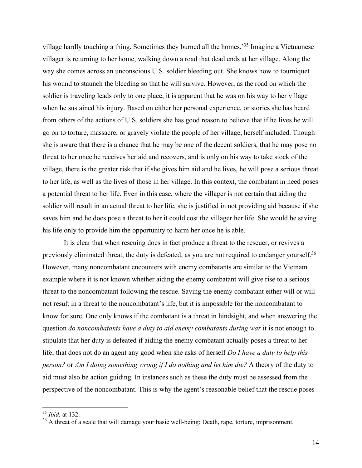village hardly touching a thing. Sometimes they burned all the homes.'35 Imagine a Vietnamese villager is returning to her home, walking down a road that dead ends at her village. Along the way she comes across an unconscious U.S. soldier bleeding out. She knows how to tourniquet his wound to staunch the bleeding so that he will survive. However, as the road on which the soldier is traveling leads only to one place, it is apparent that he was on his way to her village when he sustained his injury. Based on either her personal experience, or stories she has heard from others of the actions of U.S. soldiers she has good reason to believe that if he lives he will go on to torture, massacre, or gravely violate the people of her village, herself included. Though she is aware that there is a chance that he may be one of the decent soldiers, that he may pose no threat to her once he receives her aid and recovers, and is only on his way to take stock of the village, there is the greater risk that if she gives him aid and he lives, he will pose a serious threat to her life, as well as the lives of those in her village. In this context, the combatant in need poses a potential threat to her life. Even in this case, where the villager is not certain that aiding the soldier will result in an actual threat to her life, she is justified in not providing aid because if she saves him and he does pose a threat to her it could cost the villager her life. She would be saving his life only to provide him the opportunity to harm her once he is able.

It is clear that when rescuing does in fact produce a threat to the rescuer, or revives a previously eliminated threat, the duty is defeated, as you are not required to endanger yourself.<sup>36</sup> However, many noncombatant encounters with enemy combatants are similar to the Vietnam example where it is not known whether aiding the enemy combatant will give rise to a serious threat to the noncombatant following the rescue. Saving the enemy combatant either will or will not result in a threat to the noncombatant's life, but it is impossible for the noncombatant to know for sure. One only knows if the combatant is a threat in hindsight, and when answering the question *do noncombatants have a duty to aid enemy combatants during war* it is not enough to stipulate that her duty is defeated if aiding the enemy combatant actually poses a threat to her life; that does not do an agent any good when she asks of herself *Do I have a duty to help this person?* or *Am I doing something wrong if I do nothing and let him die?* A theory of the duty to aid must also be action guiding. In instances such as these the duty must be assessed from the perspective of the noncombatant. This is why the agent's reasonable belief that the rescue poses

 <sup>35</sup> *Ibid.* at 132.

<sup>&</sup>lt;sup>36</sup> A threat of a scale that will damage your basic well-being: Death, rape, torture, imprisonment.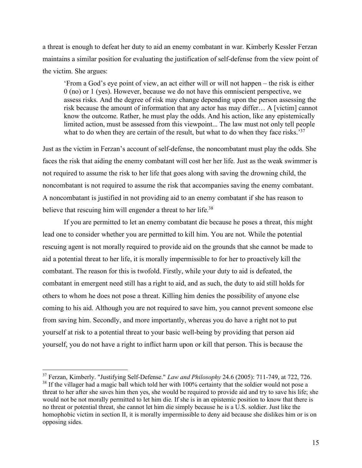a threat is enough to defeat her duty to aid an enemy combatant in war. Kimberly Kessler Ferzan maintains a similar position for evaluating the justification of self-defense from the view point of the victim. She argues:

'From a God's eye point of view, an act either will or will not happen – the risk is either 0 (no) or 1 (yes). However, because we do not have this omniscient perspective, we assess risks. And the degree of risk may change depending upon the person assessing the risk because the amount of information that any actor has may differ… A [victim] cannot know the outcome. Rather, he must play the odds. And his action, like any epistemically limited action, must be assessed from this viewpoint... The law must not only tell people what to do when they are certain of the result, but what to do when they face risks.<sup>37</sup>

Just as the victim in Ferzan's account of self-defense, the noncombatant must play the odds. She faces the risk that aiding the enemy combatant will cost her her life. Just as the weak swimmer is not required to assume the risk to her life that goes along with saving the drowning child, the noncombatant is not required to assume the risk that accompanies saving the enemy combatant. A noncombatant is justified in not providing aid to an enemy combatant if she has reason to believe that rescuing him will engender a threat to her life.<sup>38</sup>

If you are permitted to let an enemy combatant die because he poses a threat, this might lead one to consider whether you are permitted to kill him. You are not. While the potential rescuing agent is not morally required to provide aid on the grounds that she cannot be made to aid a potential threat to her life, it is morally impermissible to for her to proactively kill the combatant. The reason for this is twofold. Firstly, while your duty to aid is defeated, the combatant in emergent need still has a right to aid, and as such, the duty to aid still holds for others to whom he does not pose a threat. Killing him denies the possibility of anyone else coming to his aid. Although you are not required to save him, you cannot prevent someone else from saving him. Secondly, and more importantly, whereas you do have a right not to put yourself at risk to a potential threat to your basic well-being by providing that person aid yourself, you do not have a right to inflict harm upon or kill that person. This is because the

 <sup>37</sup> Ferzan, Kimberly. "Justifying Self-Defense." *Law and Philosophy* 24.6 (2005): 711-749, at 722, 726. <sup>38</sup> If the villager had a magic ball which told her with 100% certainty that the soldier would not pose a threat to her after she saves him then yes, she would be required to provide aid and try to save his life; she would not be not morally permitted to let him die. If she is in an epistemic position to know that there is no threat or potential threat, she cannot let him die simply because he is a U.S. soldier. Just like the homophobic victim in section II, it is morally impermissible to deny aid because she dislikes him or is on opposing sides.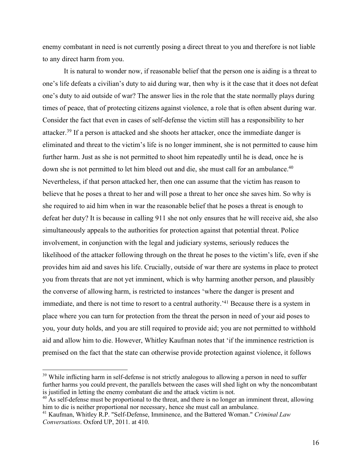enemy combatant in need is not currently posing a direct threat to you and therefore is not liable to any direct harm from you.

It is natural to wonder now, if reasonable belief that the person one is aiding is a threat to one's life defeats a civilian's duty to aid during war, then why is it the case that it does not defeat one's duty to aid outside of war? The answer lies in the role that the state normally plays during times of peace, that of protecting citizens against violence, a role that is often absent during war. Consider the fact that even in cases of self-defense the victim still has a responsibility to her attacker.39 If a person is attacked and she shoots her attacker, once the immediate danger is eliminated and threat to the victim's life is no longer imminent, she is not permitted to cause him further harm. Just as she is not permitted to shoot him repeatedly until he is dead, once he is down she is not permitted to let him bleed out and die, she must call for an ambulance.<sup>40</sup> Nevertheless, if that person attacked her, then one can assume that the victim has reason to believe that he poses a threat to her and will pose a threat to her once she saves him. So why is she required to aid him when in war the reasonable belief that he poses a threat is enough to defeat her duty? It is because in calling 911 she not only ensures that he will receive aid, she also simultaneously appeals to the authorities for protection against that potential threat. Police involvement, in conjunction with the legal and judiciary systems, seriously reduces the likelihood of the attacker following through on the threat he poses to the victim's life, even if she provides him aid and saves his life. Crucially, outside of war there are systems in place to protect you from threats that are not yet imminent, which is why harming another person, and plausibly the converse of allowing harm, is restricted to instances 'where the danger is present and immediate, and there is not time to resort to a central authority.<sup>'41</sup> Because there is a system in place where you can turn for protection from the threat the person in need of your aid poses to you, your duty holds, and you are still required to provide aid; you are not permitted to withhold aid and allow him to die. However, Whitley Kaufman notes that 'if the imminence restriction is premised on the fact that the state can otherwise provide protection against violence, it follows

<sup>&</sup>lt;sup>39</sup> While inflicting harm in self-defense is not strictly analogous to allowing a person in need to suffer further harms you could prevent, the parallels between the cases will shed light on why the noncombatant is justified in letting the enemy combatant die and the attack victim is not.

 $40$  As self-defense must be proportional to the threat, and there is no longer an imminent threat, allowing him to die is neither proportional nor necessary, hence she must call an ambulance.

<sup>&</sup>lt;sup>41</sup> Kaufman, Whitley R.P. "Self-Defense, Imminence, and the Battered Woman." *Criminal Law Conversations*. Oxford UP, 2011. at 410.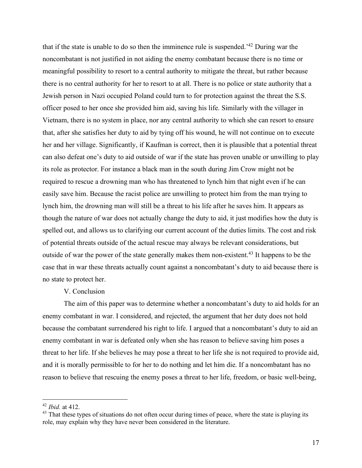that if the state is unable to do so then the imminence rule is suspended.'42 During war the noncombatant is not justified in not aiding the enemy combatant because there is no time or meaningful possibility to resort to a central authority to mitigate the threat, but rather because there is no central authority for her to resort to at all. There is no police or state authority that a Jewish person in Nazi occupied Poland could turn to for protection against the threat the S.S. officer posed to her once she provided him aid, saving his life. Similarly with the villager in Vietnam, there is no system in place, nor any central authority to which she can resort to ensure that, after she satisfies her duty to aid by tying off his wound, he will not continue on to execute her and her village. Significantly, if Kaufman is correct, then it is plausible that a potential threat can also defeat one's duty to aid outside of war if the state has proven unable or unwilling to play its role as protector. For instance a black man in the south during Jim Crow might not be required to rescue a drowning man who has threatened to lynch him that night even if he can easily save him. Because the racist police are unwilling to protect him from the man trying to lynch him, the drowning man will still be a threat to his life after he saves him. It appears as though the nature of war does not actually change the duty to aid, it just modifies how the duty is spelled out, and allows us to clarifying our current account of the duties limits. The cost and risk of potential threats outside of the actual rescue may always be relevant considerations, but outside of war the power of the state generally makes them non-existent.43 It happens to be the case that in war these threats actually count against a noncombatant's duty to aid because there is no state to protect her.

### V. Conclusion

The aim of this paper was to determine whether a noncombatant's duty to aid holds for an enemy combatant in war. I considered, and rejected, the argument that her duty does not hold because the combatant surrendered his right to life. I argued that a noncombatant's duty to aid an enemy combatant in war is defeated only when she has reason to believe saving him poses a threat to her life. If she believes he may pose a threat to her life she is not required to provide aid, and it is morally permissible to for her to do nothing and let him die. If a noncombatant has no reason to believe that rescuing the enemy poses a threat to her life, freedom, or basic well-being,

 <sup>42</sup> *Ibid.* at 412.

<sup>&</sup>lt;sup>43</sup> That these types of situations do not often occur during times of peace, where the state is playing its role, may explain why they have never been considered in the literature.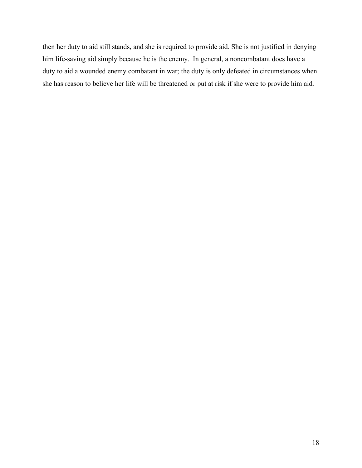then her duty to aid still stands, and she is required to provide aid. She is not justified in denying him life-saving aid simply because he is the enemy. In general, a noncombatant does have a duty to aid a wounded enemy combatant in war; the duty is only defeated in circumstances when she has reason to believe her life will be threatened or put at risk if she were to provide him aid.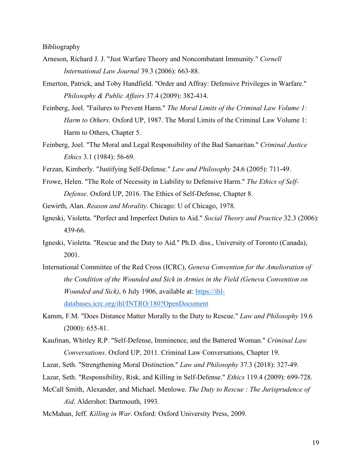Bibliography

- Arneson, Richard J. J. "Just Warfare Theory and Noncombatant Immunity." *Cornell International Law Journal* 39.3 (2006): 663-88.
- Emerton, Patrick, and Toby Handfield. "Order and Affray: Defensive Privileges in Warfare." *Philosophy & Public Affairs* 37.4 (2009): 382-414.
- Feinberg, Joel. "Failures to Prevent Harm." *The Moral Limits of the Criminal Law Volume 1: Harm to Others*. Oxford UP, 1987. The Moral Limits of the Criminal Law Volume 1: Harm to Others, Chapter 5.
- Feinberg, Joel. "The Moral and Legal Responsibility of the Bad Samaritan." *Criminal Justice Ethics* 3.1 (1984): 56-69.

Ferzan, Kimberly. "Justifying Self-Defense." *Law and Philosophy* 24.6 (2005): 711-49.

- Frowe, Helen. "The Role of Necessity in Liability to Defensive Harm." *The Ethics of Self-Defense*. Oxford UP, 2016. The Ethics of Self-Defense, Chapter 8.
- Gewirth, Alan. *Reason and Morality*. Chicago: U of Chicago, 1978.
- Igneski, Violetta. "Perfect and Imperfect Duties to Aid." *Social Theory and Practice* 32.3 (2006): 439-66.
- Igneski, Violetta. "Rescue and the Duty to Aid." Ph.D. diss., University of Toronto (Canada), 2001.
- International Committee of the Red Cross (ICRC), *Geneva Convention for the Amelioration of the Condition of the Wounded and Sick in Armies in the Field (Geneva Convention on Wounded and Sick*), 6 July 1906, available at: https://ihldatabases.icrc.org/ihl/INTRO/180?OpenDocument
- Kamm, F.M. "Does Distance Matter Morally to the Duty to Rescue." *Law and Philosophy* 19.6 (2000): 655-81.
- Kaufman, Whitley R.P. "Self-Defense, Imminence, and the Battered Woman." *Criminal Law Conversations*. Oxford UP, 2011. Criminal Law Conversations, Chapter 19.
- Lazar, Seth. "Strengthening Moral Distinction." *Law and Philosophy* 37.3 (2018): 327-49.
- Lazar, Seth. "Responsibility, Risk, and Killing in Self-Defense." *Ethics* 119.4 (2009): 699-728.
- McCall Smith, Alexander, and Michael. Menlowe. *The Duty to Rescue : The Jurisprudence of Aid*. Aldershot: Dartmouth, 1993.

McMahan, Jeff. *Killing in War*. Oxford: Oxford University Press, 2009.